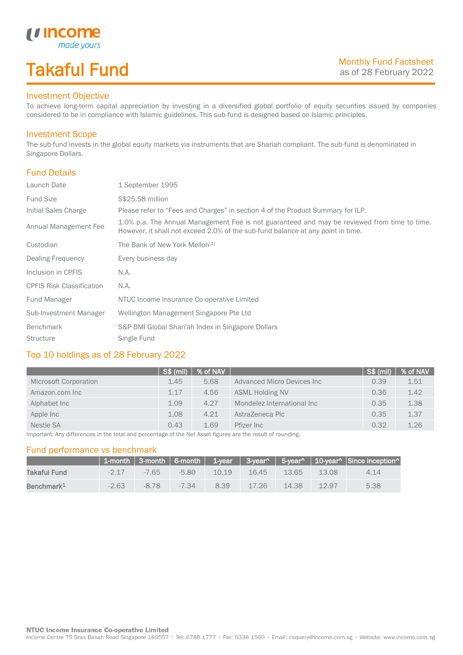# Takaful Fund

made your.

#### Investment Objective

*u* Income

To achieve long-term capital appreciation by investing in a diversified global portfolio of equity securities issued by companies considered to be in compliance with Islamic guidelines. This sub-fund is designed based on Islamic principles.

### Investment Scope

The sub-fund invests in the global equity markets via instruments that are Shariah compliant. The sub-fund is denominated in Singapore Dollars.

### Fund Details

I

| Launch Date                      | 1 September 1995                                                                                                                                                                |
|----------------------------------|---------------------------------------------------------------------------------------------------------------------------------------------------------------------------------|
| <b>Fund Size</b>                 | S\$25.58 million                                                                                                                                                                |
| Initial Sales Charge             | Please refer to "Fees and Charges" in section 4 of the Product Summary for ILP.                                                                                                 |
| Annual Management Fee            | 1.0% p.a. The Annual Management Fee is not guaranteed and may be reviewed from time to time.<br>However, it shall not exceed 2.0% of the sub-fund balance at any point in time. |
| Custodian                        | The Bank of New York Mellon <sup>[1]</sup>                                                                                                                                      |
| Dealing Frequency                | Every business day                                                                                                                                                              |
| Inclusion in CPFIS               | N.A.                                                                                                                                                                            |
| <b>CPFIS Risk Classification</b> | N.A.                                                                                                                                                                            |
| Fund Manager                     | NTUC Income Insurance Co-operative Limited                                                                                                                                      |
| Sub-Investment Manager           | Wellington Management Singapore Pte Ltd                                                                                                                                         |
| <b>Benchmark</b>                 | S&P BMI Global Shari'ah Index in Singapore Dollars                                                                                                                              |
| <b>Structure</b>                 | Single Fund                                                                                                                                                                     |

### Top 10 holdings as of 28 February 2022

|                       | $\sqrt{\text{S}}\$ (mil) | % of NAV |                             | S\$ (mil) | % of NAV |
|-----------------------|--------------------------|----------|-----------------------------|-----------|----------|
| Microsoft Corporation | 1.45                     | 5.68     | Advanced Micro Devices Inc. | 0.39      | 1.51     |
| Amazon.com Inc        | 1.17                     | 4.56     | <b>ASML Holding NV</b>      | 0.36      | 1.42     |
| Alphabet Inc          | 1.09                     | 4.27     | Mondelez International Inc  | 0.35      | 1.38     |
| Apple Inc             | 1.08                     | 4.21     | AstraZeneca Plc             | 0.35      | 1.37     |
| Nestle SA             | 0.43                     | 1.69     | Pfizer Inc                  | 0.32      | 1.26     |

Important: Any differences in the total and percentage of the Net Asset figures are the result of rounding.

#### Fund performance vs benchmark

|                        |         |                |       |       |       |                   |       | 1-month   3-month   6-month   1-year   3-year^   5-year^   10-year^   Since inception^ |
|------------------------|---------|----------------|-------|-------|-------|-------------------|-------|----------------------------------------------------------------------------------------|
| Takaful Fund           |         | $-2.17 - 7.65$ | -5.80 | 10.19 |       | 16.45 13.65 13.08 |       | 4.14                                                                                   |
| Benchmark <sup>1</sup> | $-2.63$ | $-8.78$ $-$    | -7.34 | 8.39  | 17.26 | 14.38             | 12.97 | 5.38                                                                                   |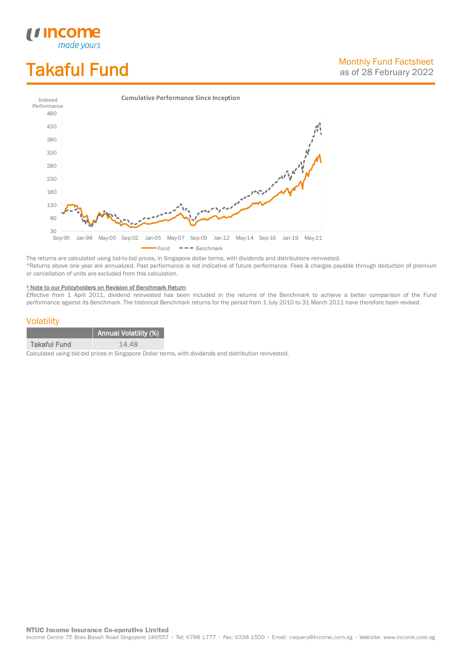# Takaful Fund

*<u>Income</u>*<br>made yours

I



The returns are calculated using bid-to-bid prices, in Singapore dollar terms, with dividends and distributions reinvested. ^Returns above one year are annualized. Past performance is not indicative of future performance. Fees & charges payable through deduction of premium or cancellation of units are excluded from this calculation.

#### <sup>1</sup> Note to our Policyholders on Revision of Benchmark Return:

Effective from 1 April 2011, dividend reinvested has been included in the returns of the Benchmark to achieve a better comparison of the Fund performance against its Benchmark. The historical Benchmark returns for the period from 1 July 2010 to 31 March 2011 have therefore been revised.

#### **Volatility**

|                     | <b>Annual Volatility (%)</b> |
|---------------------|------------------------------|
| <b>Takaful Fund</b> | 14.48                        |

Calculated using bid-bid prices in Singapore Dollar terms, with dividends and distribution reinvested.

**NTUC Income Insurance Co-operative Limited** 

Income Centre 75 Bras Basah Road Singapore 189557 · Tel: 6788 1777 · Fax: 6338 1500 · Email: csquery@income.com.sg · Website: www.income.com.sg